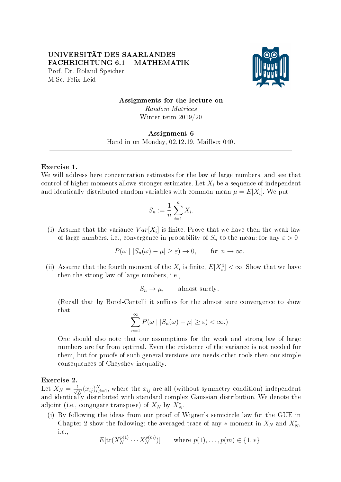UNIVERSITÄT DES SAARLANDES FACHRICHTUNG 6.1 - MATHEMATIK Prof. Dr. Roland Speicher M.Sc. Felix Leid



# Assignments for the lecture on Random Matrices Winter term 2019/20

## Assignment 6 Hand in on Monday, 02.12.19, Mailbox 040.

#### Exercise 1.

We will address here concentration estimates for the law of large numbers, and see that control of higher moments allows stronger estimates. Let  $X_i$  be a sequence of independent and identically distributed random variables with common mean  $\mu = E[X_i]$ . We put

$$
S_n := \frac{1}{n} \sum_{i=1}^n X_i.
$$

(i) Assume that the variance  $Var[X_i]$  is finite. Prove that we have then the weak law of large numbers, i.e., convergence in probability of  $S_n$  to the mean: for any  $\varepsilon > 0$ 

$$
P(\omega \mid |S_n(\omega) - \mu| \ge \varepsilon) \to 0, \quad \text{for } n \to \infty.
$$

(ii) Assume that the fourth moment of the  $X_i$  is finite,  $E[X_i^4] < \infty$ . Show that we have then the strong law of large numbers, i.e.,

$$
S_n \to \mu, \qquad \text{almost surely.}
$$

(Recall that by Borel-Cantelli it suffices for the almost sure convergence to show that

$$
\sum_{n=1}^{\infty} P(\omega \mid |S_n(\omega) - \mu| \ge \varepsilon) < \infty.)
$$

One should also note that our assumptions for the weak and strong law of large numbers are far from optimal. Even the existence of the variance is not needed for them, but for proofs of such general versions one needs other tools then our simple consequences of Cheyshev inequality.

### Exercise 2.

Let  $X_N = \frac{1}{\sqrt{2}}$  $\frac{1}{N}(x_{ij})_{i,j=1}^N$ , where the  $x_{ij}$  are all (without symmetry condition) independent and identically distributed with standard complex Gaussian distribution. We denote the adjoint (i.e., congugate transpose) of  $X_N$  by  $X_N^*$ .

(i) By following the ideas from our proof of Wigner's semicircle law for the GUE in Chapter 2 show the following: the averaged trace of any  $*$ -moment in  $X_N$  and  $X_N^*$ , i.e.,

$$
E[\text{tr}(X_N^{p(1)} \cdots X_N^{p(m)})] \qquad \text{where } p(1), \ldots, p(m) \in \{1, *\}
$$